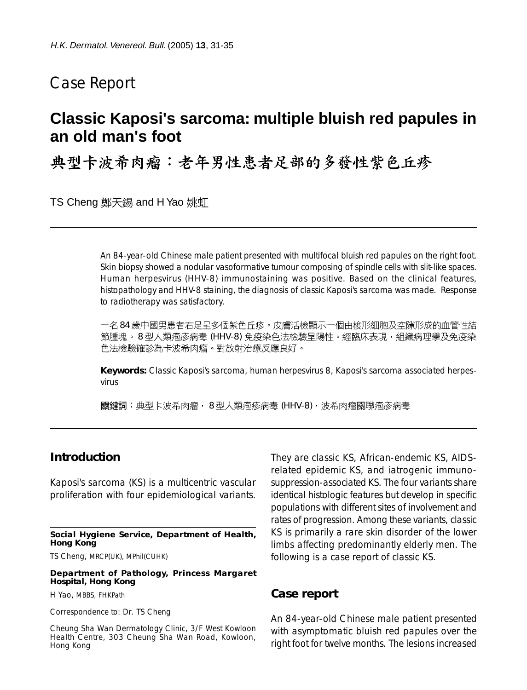## Case Report

# **Classic Kaposi's sarcoma: multiple bluish red papules in an old man's foot**

典型卡波希肉瘤:老年男性患者足部的多發性紫色丘疹

TS Cheng 鄭天錫 and H Yao 姚虹

An 84-year-old Chinese male patient presented with multifocal bluish red papules on the right foot. Skin biopsy showed a nodular vasoformative tumour composing of spindle cells with slit-like spaces. Human herpesvirus (HHV-8) immunostaining was positive. Based on the clinical features, histopathology and HHV-8 staining, the diagnosis of classic Kaposi's sarcoma was made. Response to radiotherapy was satisfactory.

一名 84 歲中國男患者右足呈多個紫色丘疹。皮膚活檢顯示一個由梭形細胞及空隙形成的血管性結 節腫塊。8型人類疱疹病毒 (HHV-8) 免疫染色法檢驗呈陽性。經臨床表現,組織病理學及免疫染 色法檢驗確診為卡波希肉瘤。對放射治療反應良好。

**Keywords:** Classic Kaposi's sarcoma, human herpesvirus 8, Kaposi's sarcoma associated herpesvirus

關鍵詞:典型卡波希肉瘤, 8型人類疱疹病毒 (HHV-8), 波希肉瘤關聯疱疹病毒

## **Introduction**

Kaposi's sarcoma (KS) is a multicentric vascular proliferation with four epidemiological variants.

**Social Hygiene Service, Department of Health, Hong Kong**

TS Cheng, MRCP(UK), MPhil(CUHK)

**Department of Pathology, Princess Margaret Hospital, Hong Kong**

H Yao, MBBS, FHKPath

Correspondence to: Dr. TS Cheng

Cheung Sha Wan Dermatology Clinic, 3/F West Kowloon Health Centre, 303 Cheung Sha Wan Road, Kowloon, Hong Kong

They are classic KS, African-endemic KS, AIDSrelated epidemic KS, and iatrogenic immunosuppression-associated KS. The four variants share identical histologic features but develop in specific populations with different sites of involvement and rates of progression. Among these variants, classic KS is primarily a rare skin disorder of the lower limbs affecting predominantly elderly men. The following is a case report of classic KS.

#### **Case report**

An 84-year-old Chinese male patient presented with asymptomatic bluish red papules over the right foot for twelve months. The lesions increased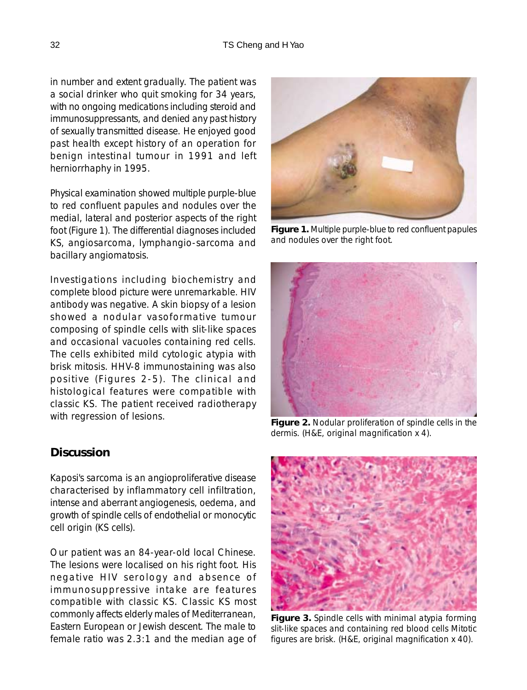in number and extent gradually. The patient was a social drinker who quit smoking for 34 years, with no ongoing medications including steroid and immunosuppressants, and denied any past history of sexually transmitted disease. He enjoyed good past health except history of an operation for benign intestinal tumour in 1991 and left herniorrhaphy in 1995.

Physical examination showed multiple purple-blue to red confluent papules and nodules over the medial, lateral and posterior aspects of the right foot (Figure 1). The differential diagnoses included KS, angiosarcoma, lymphangio-sarcoma and bacillary angiomatosis.

Investigations including biochemistry and complete blood picture were unremarkable. HIV antibody was negative. A skin biopsy of a lesion showed a nodular vasoformative tumour composing of spindle cells with slit-like spaces and occasional vacuoles containing red cells. The cells exhibited mild cytologic atypia with brisk mitosis. HHV-8 immunostaining was also positive (Figures 2-5). The clinical and histological features were compatible with classic KS. The patient received radiotherapy with regression of lesions.

## **Discussion**

Kaposi's sarcoma is an angioproliferative disease characterised by inflammatory cell infiltration, intense and aberrant angiogenesis, oedema, and growth of spindle cells of endothelial or monocytic cell origin (KS cells).

Our patient was an 84-year-old local Chinese. The lesions were localised on his right foot. His negative HIV serology and absence of immunosuppressive intake are features compatible with classic KS. Classic KS most commonly affects elderly males of Mediterranean, Eastern European or Jewish descent. The male to female ratio was 2.3:1 and the median age of



**Figure 1.** Multiple purple-blue to red confluent papules and nodules over the right foot.



**Figure 2.** Nodular proliferation of spindle cells in the dermis. (H&E, original magnification x 4).



**Figure 3.** Spindle cells with minimal atypia forming slit-like spaces and containing red blood cells Mitotic figures are brisk. (H&E, original magnification x 40).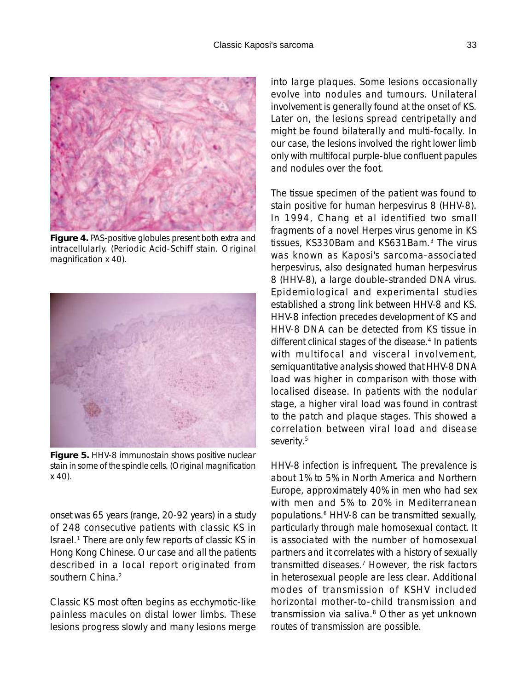

**Figure 4.** PAS-positive globules present both extra and intracellularly. (Periodic Acid-Schiff stain. Original magnification x 40).



**Figure 5.** HHV-8 immunostain shows positive nuclear stain in some of the spindle cells. (Original magnification x 40).

onset was 65 years (range, 20-92 years) in a study of 248 consecutive patients with classic KS in Israel.1 There are only few reports of classic KS in Hong Kong Chinese. Our case and all the patients described in a local report originated from southern China.<sup>2</sup>

Classic KS most often begins as ecchymotic-like painless macules on distal lower limbs. These lesions progress slowly and many lesions merge into large plaques. Some lesions occasionally evolve into nodules and tumours. Unilateral involvement is generally found at the onset of KS. Later on, the lesions spread centripetally and might be found bilaterally and multi-focally. In our case, the lesions involved the right lower limb only with multifocal purple-blue confluent papules and nodules over the foot.

The tissue specimen of the patient was found to stain positive for human herpesvirus 8 (HHV-8). In 1994, Chang et al identified two small fragments of a novel Herpes virus genome in KS tissues, KS330Bam and KS631Bam.3 The virus was known as Kaposi's sarcoma-associated herpesvirus, also designated human herpesvirus 8 (HHV-8), a large double-stranded DNA virus. Epidemiological and experimental studies established a strong link between HHV-8 and KS. HHV-8 infection precedes development of KS and HHV-8 DNA can be detected from KS tissue in different clinical stages of the disease.<sup>4</sup> In patients with multifocal and visceral involvement, semiquantitative analysis showed that HHV-8 DNA load was higher in comparison with those with localised disease. In patients with the nodular stage, a higher viral load was found in contrast to the patch and plaque stages. This showed a correlation between viral load and disease severity.<sup>5</sup>

HHV-8 infection is infrequent. The prevalence is about 1% to 5% in North America and Northern Europe, approximately 40% in men who had sex with men and 5% to 20% in Mediterranean populations.<sup>6</sup> HHV-8 can be transmitted sexually, particularly through male homosexual contact. It is associated with the number of homosexual partners and it correlates with a history of sexually transmitted diseases.7 However, the risk factors in heterosexual people are less clear. Additional modes of transmission of KSHV included horizontal mother-to-child transmission and transmission via saliva.8 Other as yet unknown routes of transmission are possible.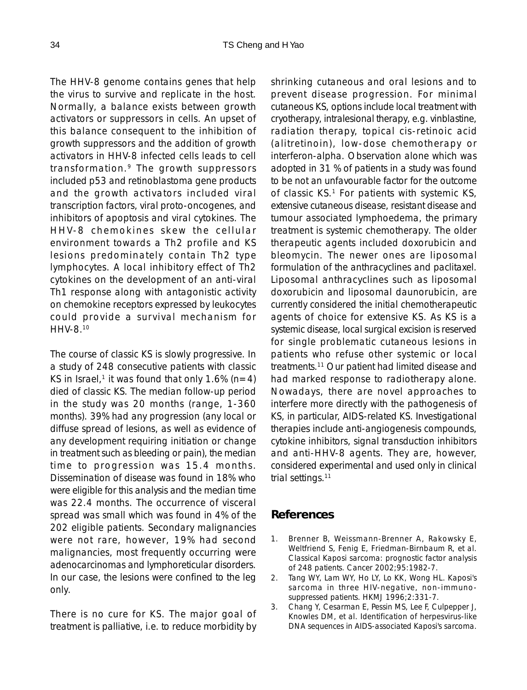The HHV-8 genome contains genes that help the virus to survive and replicate in the host. Normally, a balance exists between growth activators or suppressors in cells. An upset of this balance consequent to the inhibition of growth suppressors and the addition of growth activators in HHV-8 infected cells leads to cell transformation.9 The growth suppressors included p53 and retinoblastoma gene products and the growth activators included viral transcription factors, viral proto-oncogenes, and inhibitors of apoptosis and viral cytokines. The HHV-8 chemokines skew the cellular environment towards a Th2 profile and KS lesions predominately contain Th2 type lymphocytes. A local inhibitory effect of Th2 cytokines on the development of an anti-viral Th1 response along with antagonistic activity on chemokine receptors expressed by leukocytes could provide a survival mechanism for HHV-8.10

The course of classic KS is slowly progressive. In a study of 248 consecutive patients with classic KS in Israel,<sup>1</sup> it was found that only 1.6% (n=4) died of classic KS. The median follow-up period in the study was 20 months (range, 1-360 months). 39% had any progression (any local or diffuse spread of lesions, as well as evidence of any development requiring initiation or change in treatment such as bleeding or pain), the median time to progression was 15.4 months. Dissemination of disease was found in 18% who were eligible for this analysis and the median time was 22.4 months. The occurrence of visceral spread was small which was found in 4% of the 202 eligible patients. Secondary malignancies were not rare, however, 19% had second malignancies, most frequently occurring were adenocarcinomas and lymphoreticular disorders. In our case, the lesions were confined to the leg only.

There is no cure for KS. The major goal of treatment is palliative, i.e. to reduce morbidity by shrinking cutaneous and oral lesions and to prevent disease progression. For minimal cutaneous KS, options include local treatment with cryotherapy, intralesional therapy, e.g. vinblastine, radiation therapy, topical cis-retinoic acid (alitretinoin), low-dose chemotherapy or interferon-alpha. Observation alone which was adopted in 31 % of patients in a study was found to be not an unfavourable factor for the outcome of classic  $KS$ .<sup>1</sup> For patients with systemic  $KS$ , extensive cutaneous disease, resistant disease and tumour associated lymphoedema, the primary treatment is systemic chemotherapy. The older therapeutic agents included doxorubicin and bleomycin. The newer ones are liposomal formulation of the anthracyclines and paclitaxel. Liposomal anthracyclines such as liposomal doxorubicin and liposomal daunorubicin, are currently considered the initial chemotherapeutic agents of choice for extensive KS. As KS is a systemic disease, local surgical excision is reserved for single problematic cutaneous lesions in patients who refuse other systemic or local treatments.11 Our patient had limited disease and had marked response to radiotherapy alone. Nowadays, there are novel approaches to interfere more directly with the pathogenesis of KS, in particular, AIDS-related KS. Investigational therapies include anti-angiogenesis compounds, cytokine inhibitors, signal transduction inhibitors and anti-HHV-8 agents. They are, however, considered experimental and used only in clinical trial settings.<sup>11</sup>

## **References**

- 1. Brenner B, Weissmann-Brenner A, Rakowsky E, Weltfriend S, Fenig E, Friedman-Birnbaum R, et al. Classical Kaposi sarcoma: prognostic factor analysis of 248 patients. Cancer 2002;95:1982-7.
- 2. Tang WY, Lam WY, Ho LY, Lo KK, Wong HL. Kaposi's sarcoma in three HIV-negative, non-immunosuppressed patients. HKMJ 1996;2:331-7.
- 3. Chang Y, Cesarman E, Pessin MS, Lee F, Culpepper J, Knowles DM, et al. Identification of herpesvirus-like DNA sequences in AIDS-associated Kaposi's sarcoma.